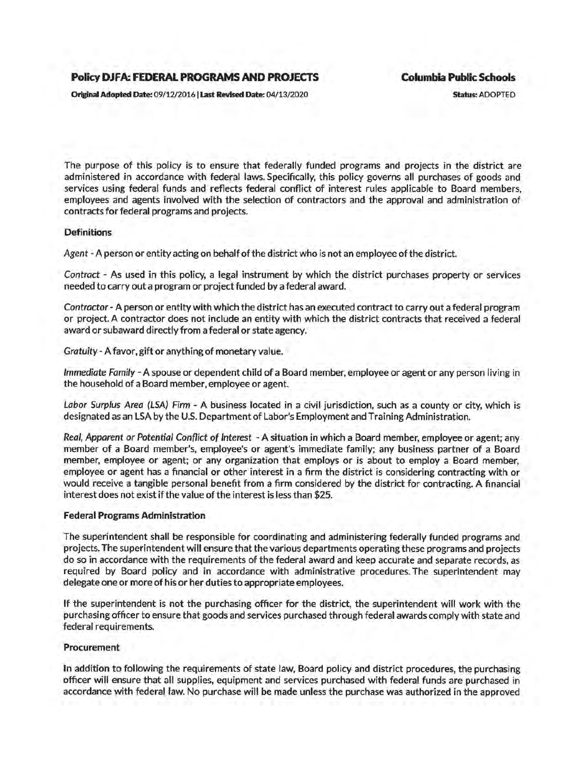# **Policy DJFA: FEDERAL PROGRAMS AND PROJECTS Columbia Public Schools**

Original Adopted Date: 09/12/2016 | Last Revised Date: 04/13/2020 Status: ADOPTED

The purpose of this policy is to ensure that federally funded programs and projects in the district are administered in accordance with federal laws. Specifically, this policy governs all purchases of goods and services using federal funds and reflects federal conflict of interest rules applicable to Board members, employees and agents involved with the selection of contractors and the approval and administration of contracts for federal programs and projects.

## **Definitions**

Agent -A person or entity acting on behalf of the district who is not an employee of the district.

Contract - As used in this policy, a legal instrument by which the district purchases property or services needed to carry out a program or project funded by a federal award.

Contractor- A person or entity with which the district has an executed contract to carry out a federal program or project. A contractor does not include an entity with which the district contracts that received a federal award or subaward directly from a federal or state agency.

Gratuity-A favor, gift or anything of monetary value.

Immediate Family -A spouse or dependent child of a Board member, employee or agent or any person living in the household of a Board member, employee or agent.

Labor Surplus Area (LSA) Firm - A business located in a civil jurisdiction, such as a county or city, which is designated as an LSA by the U.S. Department of Labor's Employment and Training Administration.

Real, Apparent or Potential Conflict of Interest - A situation in which a Board member, employee or agent; any member of a Board member's, employee's or agent's immediate family; any business partner of a Board member, employee or agent; or any organization that employs or is about to employ a Board member, employee or agent has a financial or other interest in a firm the district is considering contracting with or would receive a tangible personal benefit from a firm considered by the district for contracting. A financial interest does not exist if the value of the interest is less than \$25.

### Federal Programs Administration

The superintendent shall be responsible for coordinating and administering federally funded programs and projects. The superintendent will ensure that the various departments operating these programs and projects do so in accordance with the requirements of the federal award and keep accurate and separate records, as required by Board policy and in accordance with administrative procedures. The superintendent may delegate one or more of his or her duties to appropriate employees.

If the superintendent is not the purchasing officer for the district, the superintendent will work with the purchasing officer to ensure that goods and services purchased through federal awards comply with state and federal requirements.

### Procurement

In addition to following the requirements of state law, Board policy and district procedures, the purchasing officer will ensure that all supplies, equipment and services purchased with federal funds are purchased in accordance with federal law. No purchase will be made unless the purchase was authorized in the approved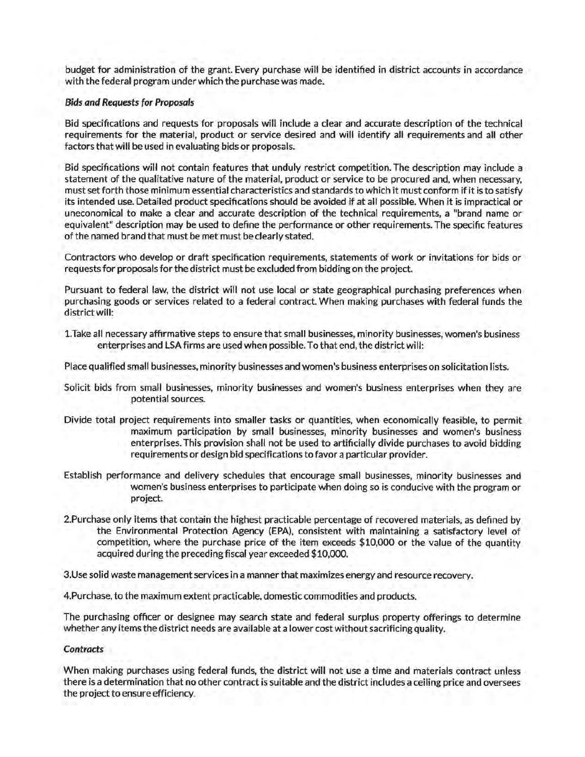budget for administration of the grant. Every purchase will be identified in district accounts in accordance with the federal program under which the purchase was made.

### Bids and Requests for Proposals

Bid specifications and requests for proposals will include a clear and accurate description of the technical requirements for the material, product or service desired and will identify all requirements and all other factors that will be used in evaluating bids or proposals.

Bid specifications will not contain features that unduly restrict competition. The description may include a statement of the qualitative nature of the material, product or service to be procured and, when necessary, must set forth those minimum essential characteristics and standards to which it must conform if it is to satisfy its intended use. Detailed product specifications should be avoided if at all possible. When it is impractical or uneconomical to make a clear and accurate description of the technical requirements, a "brand name or equivalent" description may be used to define the performance or other requirements. The specific features of the named brand that must be met must be clearly stated.

Contractors who develop or draft specification requirements, statements of work or invitations for bids or requests for proposals for the district must be excluded from bidding on the project.

Pursuant to federal law, the district will not use local or state geographical purchasing preferences when purchasing goods or services related to a federal contract. When making purchases with federal funds the district will:

1.Take all necessary affirmative steps to ensure that small businesses, minority businesses, women's business enterprises and LSA firms are used when possible. To that end, the district will:

Place qualified small businesses, minority businesses and women's business enterprises on solicitation lists.

- Solicit bids from small businesses, minority businesses and women's business enterprises when they are potential sources.
- Divide total project requirements into smaller tasks or quantities, when economically feasible, to permit maximum participation by small businesses, minority businesses and women's business enterprises. This provision shall not be used to artificially divide purchases to avoid bidding requirements or design bid specifications to favor a particular provider.
- Establish performance and delivery schedules that encourage small businesses, minority businesses and women's business enterprises to participate when doing so is conducive with the program or project.
- 2.Purchase only items that contain the highest practicable percentage of recovered materials, as defined by the Environmental Protection Agency (EPA), consistent with maintaining a satisfactory level of competition, where the purchase price of the item exceeds \$10,000 or the value of the quantity acquired during the preceding fiscal year exceeded \$10,000.

3.Use solid waste management services in a manner that maximizes energy and resource recovery.

4.Purchase, to the maximum extent practicable, domestic commodities and products.

The purchasing officer or designee may search state and federal surplus property offerings to determine whether any items the district needs are available at a lower cost without sacrificing quality.

### Contracts

When making purchases using federal funds, the district will not use a time and materials contract unless there is a determination that no other contract is suitable and the district includes a ceiling price and oversees the project to ensure efficiency.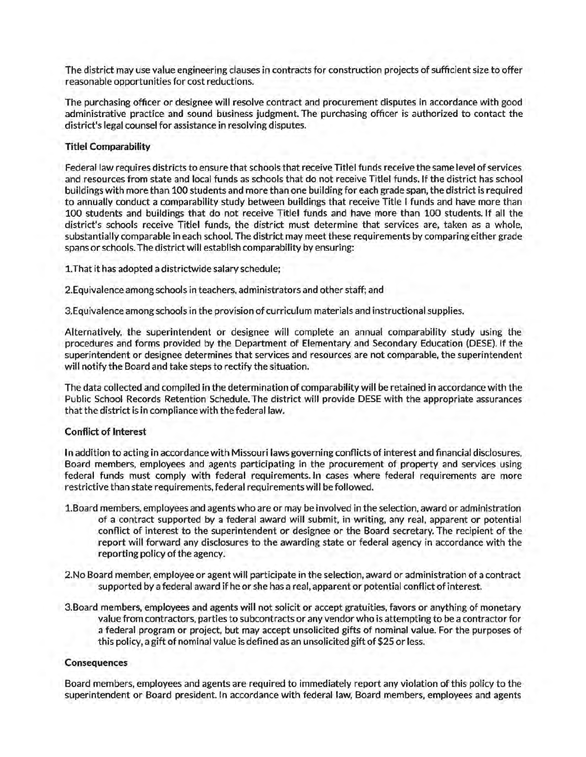The district may use value engineering clauses in contracts for construction projects of sufficient size to offer reasonable opportunities for cost reductions.

The purchasing officer or designee will resolve contract and procurement disputes in accordance with good administrative practice and sound business judgment. The purchasing officer is authorized to contact the district's legal counsel for assistance in resolving disputes.

## Titlel Comparability

Federal law requires districts to ensure that schools that receive Titlel funds receive the same level of services and resources from state and local funds as schools that do not receive Title! funds. If the district has school buildings with more than 100 students and more than one building for each grade span, the district is required to annually conduct a comparability study between buildings that receive Title I funds and have more than 100 students and buildings that do not receive Titlel funds and have more than 100 students. If all the district's schools receive Titlel funds, the district must determine that services are, taken as a whole, substantially comparable in each school. The district may meet these requirements by comparing either grade spans or schools. The district will establish comparability by ensuring:

1.That it has adopted a districtwide salary schedule;

2.Equivalence among schools in teachers. administrators and other staff; and

3.Equivalence among schools in the provision of curriculum materials and instructional supplies.

Alternatively, the superintendent or designee will complete an annual comparability study using the procedures and forms provided by the Department of Elementary and Secondary Education (DESE). If the superintendent or designee determines that services and resources are not comparable, the superintendent will notify the Board and take steps to rectify the situation.

The data collected and compiled in the determination of comparability will be retained in accordance with the Public School Records Retention Schedule. The district will provide DESE with the appropriate assurances that the district is in compliance with the federal law.

## Conflict of Interest

In addition to acting in accordance with Missouri laws governing conflicts of interest and financial disclosures, Board members, employees and agents participating in the procurement of property and services using federal funds must comply with federal requirements. In cases where federal requirements are more restrictive than state requirements, federal requirements will be followed.

- 1.Board members, employees and agents who are or may be involved in the selection, award or administration of a contract supported by a federal award will submit, in writing, any real, apparent or potential conflict of interest to the superintendent or designee or the Board secretary. The recipient of the report will forward any disclosures to the awarding state or federal agency in accordance with the reporting policy of the agency.
- 2.No Board member, employee or agent will participate in the selection, award or administration of a contract supported by a federal award if he or she has a real, apparent or potential conflict of interest.
- 3.Board members, employees and agents will not solicit or accept gratuities, favors or anything of monetary value from contractors, parties to subcontracts or any vendor who is attempting to be a contractor for a federal program or project, but may accept unsolicited gifts of nominal value. For the purposes of this policy, a gift of nominal value is defined as an unsolicited gift of \$25 or less.

## Consequences

Board members, employees and agents are required to immediately report any violation of this policy to the superintendent or Board president. In accordance with federal law, Board members, employees and agents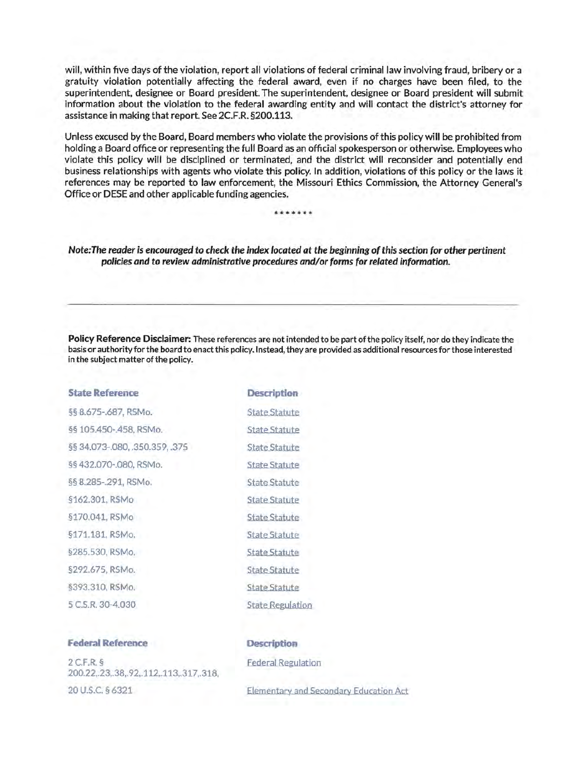will, within five days of the violation, report all violations of federal criminal law involving fraud, bribery or a gratuity violation potentially affecting the federal award, even if no charges have been filed, to the superintendent, designee or Board president. The superintendent, designee or Board president will submit information about the violation to the federal awarding entity and will contact the district's attorney for assistance in making that report. See 2C.F.R. §200.113.

Unless excused by the Board, Board members who violate the provisions of this policy will be prohibited from holding a Board office or representing the full Board as an official spokesperson or otherwise. Employees who violate this policy will be disciplined or terminated, and the district will reconsider and potentially end business relationships with agents who violate this policy. In addition, violations of this policy or the laws it references may be reported to law enforcement, the Missouri Ethics Commission, the Attorney General's Office or DESE and other applicable funding agencies.

\*\*\*\*\*\*

Note: The reader is encouraged to check the index located at the beginning of this section for other pertinent policies and to review administrative procedures and/or forms for related information.

Policy Reference Disclaimer: These references are not intended to be part of the policy itself, nor do they indicate the basis or authority for the board to enact this policy. Instead, they are provided as additional resources for those interested in the subject matter of the policy.

| <b>State Reference</b>         | <b>Description</b>      |
|--------------------------------|-------------------------|
| §§ 8.675-.687, RSMo.           | <b>State Statute</b>    |
| §§ 105.450-.458, RSMo.         | <b>State Statute</b>    |
| §§ 34.073-.080, .350.359, .375 | <b>State Statute</b>    |
| §§ 432.070-.080, RSMo.         | <b>State Statute</b>    |
| §§ 8.285-.291, RSMo.           | <b>State Statute</b>    |
| §162.301, RSMo                 | <b>State Statute</b>    |
| §170.041, RSMo                 | State Statute           |
| §171.181, RSMo.                | <b>State Statute</b>    |
| §285,530, RSMo.                | <b>State Statute</b>    |
| §292.675, RSMo.                | <b>State Statute</b>    |
| §393.310, RSMo.                | <b>State Statute</b>    |
| 5 C.S.R. 30-4.030              | <b>State Regulation</b> |

# **Federal Reference**

2 C.F.R. § 200.22,.23,.38,. 92,.112,.113,.317,.318, 20 u.s.c. § 6321

### **Description**

Federal Regulation

Elementary and Secondary Education Act